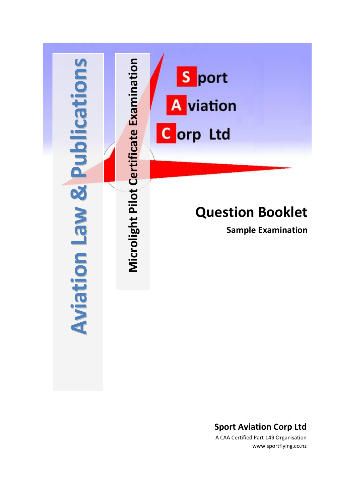

## **Sport Aviation Corp Ltd**

A CAA Certified Part 149 Organisation www.sportflying.co.nz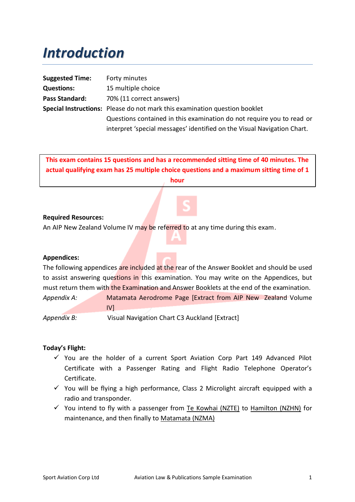# *Introduction*

| <b>Suggested Time:</b> | Forty minutes                                                              |  |  |  |  |
|------------------------|----------------------------------------------------------------------------|--|--|--|--|
| <b>Questions:</b>      | 15 multiple choice                                                         |  |  |  |  |
| <b>Pass Standard:</b>  | 70% (11 correct answers)                                                   |  |  |  |  |
|                        | Special Instructions: Please do not mark this examination question booklet |  |  |  |  |
|                        | Questions contained in this examination do not require you to read or      |  |  |  |  |
|                        | interpret 'special messages' identified on the Visual Navigation Chart.    |  |  |  |  |

**This exam contains 15 questions and has a recommended sitting time of 40 minutes. The actual qualifying exam has 25 multiple choice questions and a maximum sitting time of 1 hour**

#### **Required Resources:**

An AIP New Zealand Volume IV may be referred to at any time during this exam.

#### **Appendices:**

The following appendices are included at the rear of the Answer Booklet and should be used to assist answering questions in this examination. You may write on the Appendices, but must return them with the Examination and Answer Booklets at the end of the examination.

*Appendix A:* Matamata Aerodrome Page [Extract from AIP New Zealand Volume IV]

*Appendix B:* Visual Navigation Chart C3 Auckland [Extract]

#### **Today's Flight:**

- $\checkmark$  You are the holder of a current Sport Aviation Corp Part 149 Advanced Pilot Certificate with a Passenger Rating and Flight Radio Telephone Operator's Certificate.
- $\checkmark$  You will be flying a high performance, Class 2 Microlight aircraft equipped with a radio and transponder.
- $\checkmark$  You intend to fly with a passenger from Te Kowhai (NZTE) to Hamilton (NZHN) for maintenance, and then finally to Matamata (NZMA)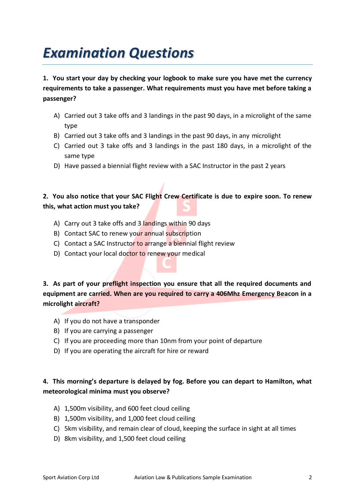# *Examination Questions*

**1. You start your day by checking your logbook to make sure you have met the currency requirements to take a passenger. What requirements must you have met before taking a passenger?**

- A) Carried out 3 take offs and 3 landings in the past 90 days, in a microlight of the same type
- B) Carried out 3 take offs and 3 landings in the past 90 days, in any microlight
- C) Carried out 3 take offs and 3 landings in the past 180 days, in a microlight of the same type
- D) Have passed a biennial flight review with a SAC Instructor in the past 2 years

### **2. You also notice that your SAC Flight Crew Certificate is due to expire soon. To renew this, what action must you take?**

- A) Carry out 3 take offs and 3 landings within 90 days
- B) Contact SAC to renew your annual subscription
- C) Contact a SAC Instructor to arrange a biennial flight review
- D) Contact your local doctor to renew your medical

**3. As part of your preflight inspection you ensure that all the required documents and equipment are carried. When are you required to carry a 406Mhz Emergency Beacon in a microlight aircraft?**

- A) If you do not have a transponder
- B) If you are carrying a passenger
- C) If you are proceeding more than 10nm from your point of departure
- D) If you are operating the aircraft for hire or reward

### **4. This morning's departure is delayed by fog. Before you can depart to Hamilton, what meteorological minima must you observe?**

- A) 1,500m visibility, and 600 feet cloud ceiling
- B) 1,500m visibility, and 1,000 feet cloud ceiling
- C) 5km visibility, and remain clear of cloud, keeping the surface in sight at all times
- D) 8km visibility, and 1,500 feet cloud ceiling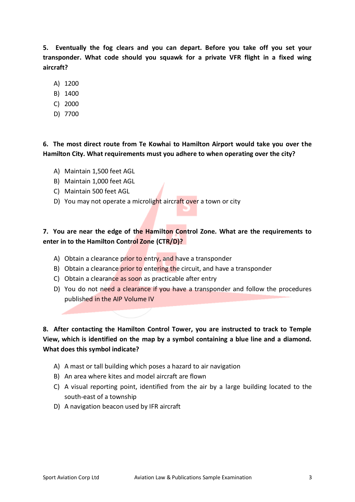**5. Eventually the fog clears and you can depart. Before you take off you set your transponder. What code should you squawk for a private VFR flight in a fixed wing aircraft?**

- A) 1200
- B) 1400
- C) 2000
- D) 7700

**6. The most direct route from Te Kowhai to Hamilton Airport would take you over the Hamilton City. What requirements must you adhere to when operating over the city?**

- A) Maintain 1,500 feet AGL
- B) Maintain 1,000 feet AGL
- C) Maintain 500 feet AGL
- D) You may not operate a microlight aircraft over a town or city

#### **7. You are near the edge of the Hamilton Control Zone. What are the requirements to enter in to the Hamilton Control Zone (CTR/D)?**

- A) Obtain a clearance prior to entry, and have a transponder
- B) Obtain a clearance prior to entering the circuit, and have a transponder
- C) Obtain a clearance as soon as practicable after entry
- D) You do not need a clearance if you have a transponder and follow the procedures published in the AIP Volume IV

### **8. After contacting the Hamilton Control Tower, you are instructed to track to Temple View, which is identified on the map by a symbol containing a blue line and a diamond. What does this symbol indicate?**

- A) A mast or tall building which poses a hazard to air navigation
- B) An area where kites and model aircraft are flown
- C) A visual reporting point, identified from the air by a large building located to the south-east of a township
- D) A navigation beacon used by IFR aircraft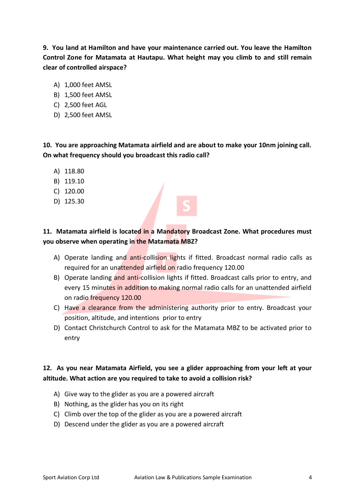**9. You land at Hamilton and have your maintenance carried out. You leave the Hamilton Control Zone for Matamata at Hautapu. What height may you climb to and still remain clear of controlled airspace?**

- A) 1,000 feet AMSL
- B) 1,500 feet AMSL
- C) 2,500 feet AGL
- D) 2,500 feet AMSL

**10. You are approaching Matamata airfield and are about to make your 10nm joining call. On what frequency should you broadcast this radio call?**

- A) 118.80
- B) 119.10
- C) 120.00
- D) 125.30

#### **11. Matamata airfield is located in a Mandatory Broadcast Zone. What procedures must you observe when operating in the Matamata MBZ?**

- A) Operate landing and anti-collision lights if fitted. Broadcast normal radio calls as required for an unattended airfield on radio frequency 120.00
- B) Operate landing and anti-collision lights if fitted. Broadcast calls prior to entry, and every 15 minutes in addition to making normal radio calls for an unattended airfield on radio frequency 120.00
- C) Have a clearance from the administering authority prior to entry. Broadcast your position, altitude, and intentions prior to entry
- D) Contact Christchurch Control to ask for the Matamata MBZ to be activated prior to entry

#### **12. As you near Matamata Airfield, you see a glider approaching from your left at your altitude. What action are you required to take to avoid a collision risk?**

- A) Give way to the glider as you are a powered aircraft
- B) Nothing, as the glider has you on its right
- C) Climb over the top of the glider as you are a powered aircraft
- D) Descend under the glider as you are a powered aircraft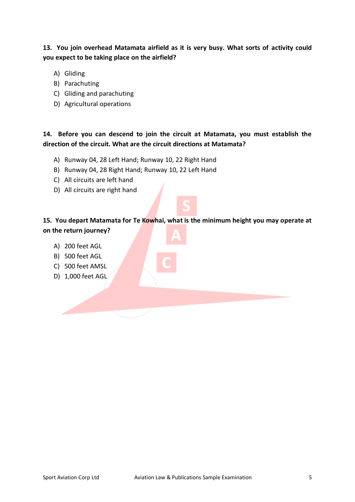#### **13. You join overhead Matamata airfield as it is very busy. What sorts of activity could you expect to be taking place on the airfield?**

- A) Gliding
- B) Parachuting
- C) Gliding and parachuting
- D) Agricultural operations

#### **14. Before you can descend to join the circuit at Matamata, you must establish the direction of the circuit. What are the circuit directions at Matamata?**

- A) Runway 04, 28 Left Hand; Runway 10, 22 Right Hand
- B) Runway 04, 28 Right Hand; Runway 10, 22 Left Hand
- C) All circuits are left hand
- D) All circuits are right hand

#### **15. You depart Matamata for Te Kowhai, what is the minimum height you may operate at on the return journey?**

- A) 200 feet AGL
- B) 500 feet AGL
- C) 500 feet AMSL
- D) 1,000 feet AGL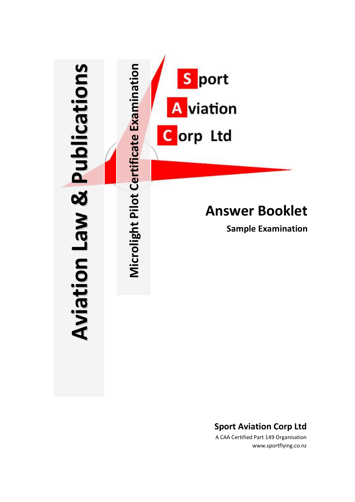

## **Sport Aviation Corp Ltd**

A CAA Certified Part 149 Organisation www.sportflying.co.nz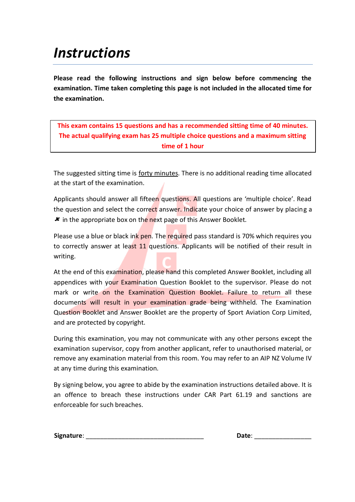# *Instructions*

**Please read the following instructions and sign below before commencing the examination. Time taken completing this page is not included in the allocated time for the examination.**

**This exam contains 15 questions and has a recommended sitting time of 40 minutes. The actual qualifying exam has 25 multiple choice questions and a maximum sitting time of 1 hour**

The suggested sitting time is forty minutes. There is no additional reading time allocated at the start of the examination.

Applicants should answer all fifteen questions. All questions are 'multiple choice'. Read the question and select the correct answer. Indicate your choice of answer by placing a  $\boldsymbol{\ast}$  in the appropriate box on the next page of this Answer Booklet.

Please use a blue or black ink pen. The required pass standard is 70% which requires you to correctly answer at least 11 questions. Applicants will be notified of their result in writing.

At the end of this examination, please hand this completed Answer Booklet, including all appendices with your Examination Question Booklet to the supervisor. Please do not mark or write on the Examination Question Booklet. Failure to return all these documents will result in your examination grade being withheld. The Examination Question Booklet and Answer Booklet are the property of Sport Aviation Corp Limited, and are protected by copyright.

During this examination, you may not communicate with any other persons except the examination supervisor, copy from another applicant, refer to unauthorised material, or remove any examination material from this room. You may refer to an AIP NZ Volume IV at any time during this examination.

By signing below, you agree to abide by the examination instructions detailed above. It is an offence to breach these instructions under CAR Part 61.19 and sanctions are enforceable for such breaches.

| Signature: | Date. |
|------------|-------|
|------------|-------|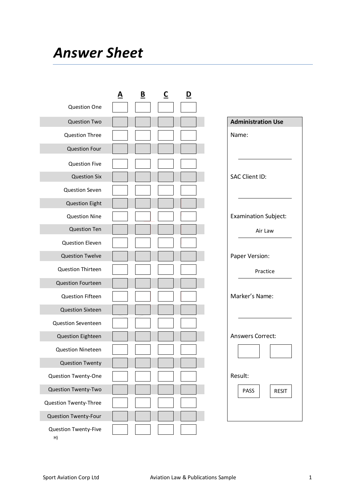# *Answer Sheet*

|                            | <u>A</u> | $\underline{\mathbf{B}}$ | $\overline{\mathsf{C}}$ | <u>D</u> |                             |
|----------------------------|----------|--------------------------|-------------------------|----------|-----------------------------|
| <b>Question One</b>        |          |                          |                         |          |                             |
| <b>Question Two</b>        |          |                          |                         |          | <b>Administration Use</b>   |
| <b>Question Three</b>      |          |                          |                         |          | Name:                       |
| <b>Question Four</b>       |          |                          |                         |          |                             |
| <b>Question Five</b>       |          |                          |                         |          |                             |
| <b>Question Six</b>        |          |                          |                         |          | <b>SAC Client ID:</b>       |
| <b>Question Seven</b>      |          |                          |                         |          |                             |
| <b>Question Eight</b>      |          |                          |                         |          |                             |
| <b>Question Nine</b>       |          |                          |                         |          | <b>Examination Subject:</b> |
| <b>Question Ten</b>        |          |                          |                         |          | Air Law                     |
| <b>Question Eleven</b>     |          |                          |                         |          |                             |
| <b>Question Twelve</b>     |          |                          |                         |          | Paper Version:              |
| <b>Question Thirteen</b>   |          |                          |                         |          | Practice                    |
| <b>Question Fourteen</b>   |          |                          |                         |          |                             |
| <b>Question Fifteen</b>    |          |                          |                         |          | Marker's Name:              |
| <b>Question Sixteen</b>    |          |                          |                         |          |                             |
| <b>Question Seventeen</b>  |          |                          |                         |          |                             |
| Question Eighteen          |          |                          |                         |          | <b>Answers Correct:</b>     |
| <b>Question Nineteen</b>   |          |                          |                         |          |                             |
| <b>Question Twenty</b>     |          |                          |                         |          |                             |
| Question Twenty-One        |          |                          |                         |          | Result:                     |
| Question Twenty-Two        |          |                          |                         |          | PASS<br><b>RESIT</b>        |
| Question Twenty-Three      |          |                          |                         |          |                             |
| Question Twenty-Four       |          |                          |                         |          |                             |
| Question Twenty-Five<br>H) |          |                          |                         |          |                             |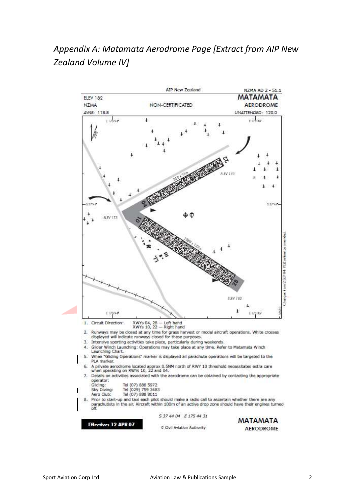## *Appendix A: Matamata Aerodrome Page [Extract from AIP New Zealand Volume IV]*